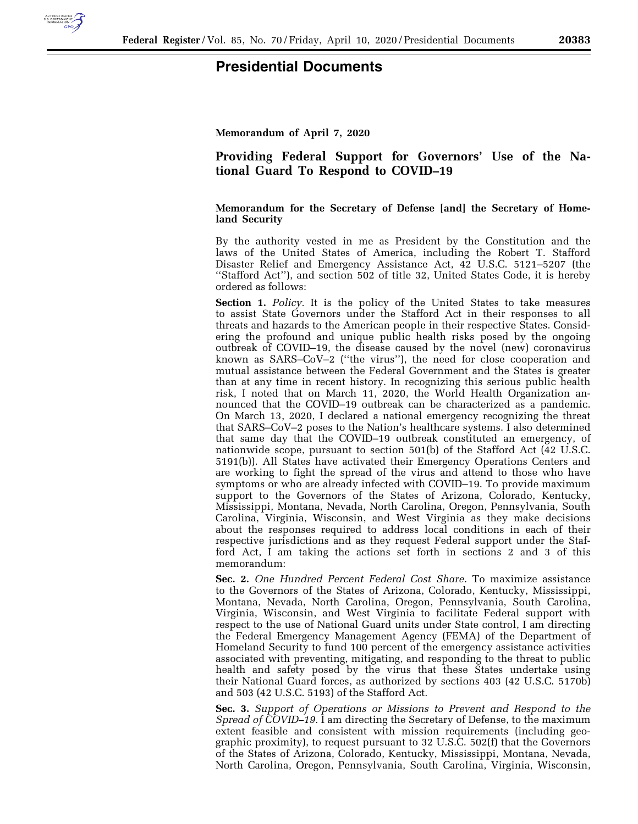

## **Presidential Documents**

**Memorandum of April 7, 2020** 

## **Providing Federal Support for Governors' Use of the National Guard To Respond to COVID–19**

## **Memorandum for the Secretary of Defense [and] the Secretary of Homeland Security**

By the authority vested in me as President by the Constitution and the laws of the United States of America, including the Robert T. Stafford Disaster Relief and Emergency Assistance Act, 42 U.S.C. 5121–5207 (the ''Stafford Act''), and section 502 of title 32, United States Code, it is hereby ordered as follows:

**Section 1.** *Policy.* It is the policy of the United States to take measures to assist State Governors under the Stafford Act in their responses to all threats and hazards to the American people in their respective States. Considering the profound and unique public health risks posed by the ongoing outbreak of COVID–19, the disease caused by the novel (new) coronavirus known as SARS–CoV–2 (''the virus''), the need for close cooperation and mutual assistance between the Federal Government and the States is greater than at any time in recent history. In recognizing this serious public health risk, I noted that on March 11, 2020, the World Health Organization announced that the COVID–19 outbreak can be characterized as a pandemic. On March 13, 2020, I declared a national emergency recognizing the threat that SARS–CoV–2 poses to the Nation's healthcare systems. I also determined that same day that the COVID–19 outbreak constituted an emergency, of nationwide scope, pursuant to section 501(b) of the Stafford Act (42 U.S.C. 5191(b)). All States have activated their Emergency Operations Centers and are working to fight the spread of the virus and attend to those who have symptoms or who are already infected with COVID–19. To provide maximum support to the Governors of the States of Arizona, Colorado, Kentucky, Mississippi, Montana, Nevada, North Carolina, Oregon, Pennsylvania, South Carolina, Virginia, Wisconsin, and West Virginia as they make decisions about the responses required to address local conditions in each of their respective jurisdictions and as they request Federal support under the Stafford Act, I am taking the actions set forth in sections 2 and 3 of this memorandum:

**Sec. 2.** *One Hundred Percent Federal Cost Share.* To maximize assistance to the Governors of the States of Arizona, Colorado, Kentucky, Mississippi, Montana, Nevada, North Carolina, Oregon, Pennsylvania, South Carolina, Virginia, Wisconsin, and West Virginia to facilitate Federal support with respect to the use of National Guard units under State control, I am directing the Federal Emergency Management Agency (FEMA) of the Department of Homeland Security to fund 100 percent of the emergency assistance activities associated with preventing, mitigating, and responding to the threat to public health and safety posed by the virus that these States undertake using their National Guard forces, as authorized by sections 403 (42 U.S.C. 5170b) and 503 (42 U.S.C. 5193) of the Stafford Act.

**Sec. 3.** *Support of Operations or Missions to Prevent and Respond to the Spread of COVID–19.* I am directing the Secretary of Defense, to the maximum extent feasible and consistent with mission requirements (including geographic proximity), to request pursuant to 32 U.S.C. 502(f) that the Governors of the States of Arizona, Colorado, Kentucky, Mississippi, Montana, Nevada, North Carolina, Oregon, Pennsylvania, South Carolina, Virginia, Wisconsin,